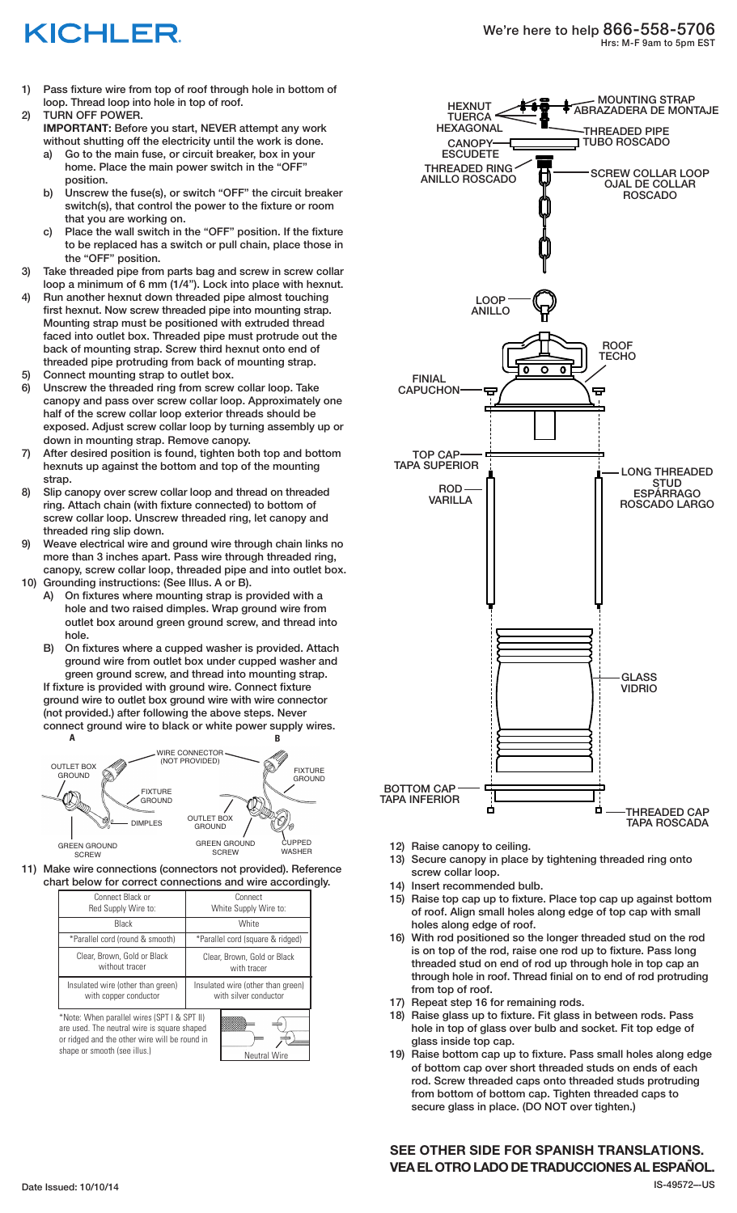## KICHLER

- 1) Pass fixture wire from top of roof through hole in bottom of loop. Thread loop into hole in top of roof.
- 2) TURN OFF POWER. **IMPORTANT:** Before you start, NEVER attempt any work without shutting off the electricity until the work is done.
	- a) Go to the main fuse, or circuit breaker, box in your home. Place the main power switch in the "OFF" position.
	- b) Unscrew the fuse(s), or switch "OFF" the circuit breaker switch(s), that control the power to the fixture or room that you are working on.
	- c) Place the wall switch in the "OFF" position. If the fixture to be replaced has a switch or pull chain, place those in the "OFF" position.
- 3) Take threaded pipe from parts bag and screw in screw collar loop a minimum of 6 mm (1/4"). Lock into place with hexnut.
- 4) Run another hexnut down threaded pipe almost touching first hexnut. Now screw threaded pipe into mounting strap. Mounting strap must be positioned with extruded thread faced into outlet box. Threaded pipe must protrude out the back of mounting strap. Screw third hexnut onto end of threaded pipe protruding from back of mounting strap.
- 5) Connect mounting strap to outlet box.
- 6) Unscrew the threaded ring from screw collar loop. Take canopy and pass over screw collar loop. Approximately one half of the screw collar loop exterior threads should be exposed. Adjust screw collar loop by turning assembly up or down in mounting strap. Remove canopy.
- 7) After desired position is found, tighten both top and bottom hexnuts up against the bottom and top of the mounting strap.
- 8) Slip canopy over screw collar loop and thread on threaded ring. Attach chain (with fixture connected) to bottom of screw collar loop. Unscrew threaded ring, let canopy and threaded ring slip down.
- 9) Weave electrical wire and ground wire through chain links no more than 3 inches apart. Pass wire through threaded ring, canopy, screw collar loop, threaded pipe and into outlet box.
- 10) Grounding instructions: (See Illus. A or B).
	- A) On fixtures where mounting strap is provided with a hole and two raised dimples. Wrap ground wire from outlet box around green ground screw, and thread into hole.
	- B) On fixtures where a cupped washer is provided. Attach ground wire from outlet box under cupped washer and green ground screw, and thread into mounting strap. If fixture is provided with ground wire. Connect fixture

ground wire to outlet box ground wire with wire connector (not provided.) after following the above steps. Never connect ground wire to black or white power supply wires.



11) Make wire connections (connectors not provided). Reference chart below for correct connections and wire accordingly.

| Connect Black or<br>Red Supply Wire to:                                                                                                                                                            | Connect<br>White Supply Wire to:                           |  |
|----------------------------------------------------------------------------------------------------------------------------------------------------------------------------------------------------|------------------------------------------------------------|--|
| Black                                                                                                                                                                                              | White                                                      |  |
| *Parallel cord (round & smooth)                                                                                                                                                                    | *Parallel cord (square & ridged)                           |  |
| Clear, Brown, Gold or Black<br>without tracer                                                                                                                                                      | Clear, Brown, Gold or Black<br>with tracer                 |  |
| Insulated wire (other than green)<br>with copper conductor                                                                                                                                         | Insulated wire (other than green)<br>with silver conductor |  |
| *Note: When parallel wires (SPT I & SPT II)<br>are used. The neutral wire is square shaped<br>or ridged and the other wire will be round in<br>shape or smooth (see illus.)<br><b>Neutral Wire</b> |                                                            |  |



- 12) Raise canopy to ceiling.
- 13) Secure canopy in place by tightening threaded ring onto screw collar loop.
- 14) Insert recommended bulb.
- 15) Raise top cap up to fixture. Place top cap up against bottom of roof. Align small holes along edge of top cap with small holes along edge of roof.
- 16) With rod positioned so the longer threaded stud on the rod is on top of the rod, raise one rod up to fixture. Pass long threaded stud on end of rod up through hole in top cap an through hole in roof. Thread finial on to end of rod protruding from top of roof.
- 17) Repeat step 16 for remaining rods.
- 18) Raise glass up to fixture. Fit glass in between rods. Pass hole in top of glass over bulb and socket. Fit top edge of glass inside top cap.
- 19) Raise bottom cap up to fixture. Pass small holes along edge of bottom cap over short threaded studs on ends of each rod. Screw threaded caps onto threaded studs protruding from bottom of bottom cap. Tighten threaded caps to secure glass in place. (DO NOT over tighten.)

Date Issued: 10/10/14 IS-49572–-US **SEE OTHER SIDE FOR SPANISH TRANSLATIONS. VEA EL OTRO LADO DE TRADUCCIONES AL ESPAÑOL.**